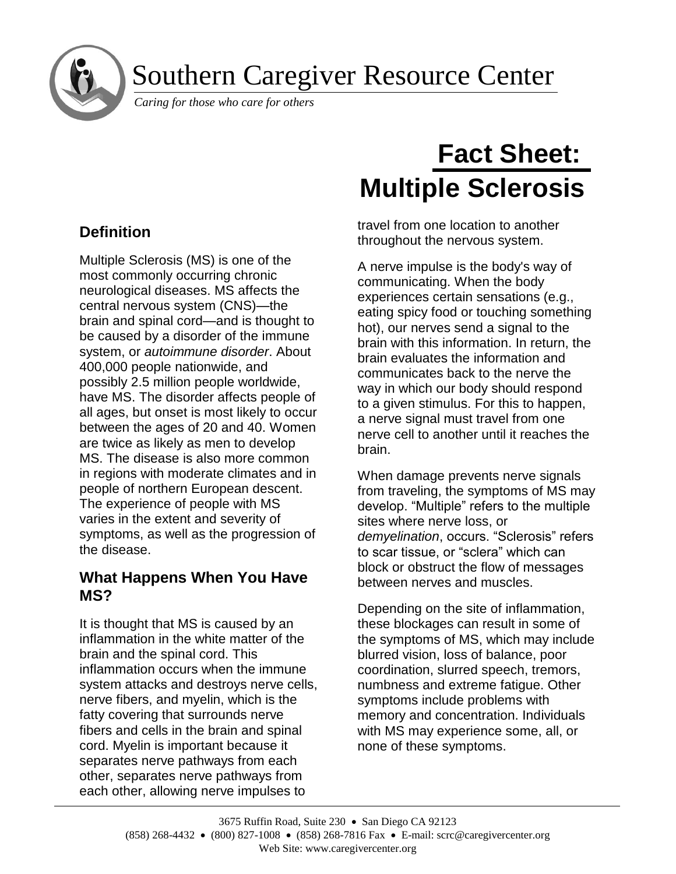Southern Caregiver Resource Center

*Caring for those who care for others*

# **Definition**

í

Multiple Sclerosis (MS) is one of the most commonly occurring chronic neurological diseases. MS affects the central nervous system (CNS)—the brain and spinal cord—and is thought to be caused by a disorder of the immune system, or *autoimmune disorder*. About 400,000 people nationwide, and possibly 2.5 million people worldwide, have MS. The disorder affects people of all ages, but onset is most likely to occur between the ages of 20 and 40. Women are twice as likely as men to develop MS. The disease is also more common in regions with moderate climates and in people of northern European descent. The experience of people with MS varies in the extent and severity of symptoms, as well as the progression of the disease.

## **What Happens When You Have MS?**

It is thought that MS is caused by an inflammation in the white matter of the brain and the spinal cord. This inflammation occurs when the immune system attacks and destroys nerve cells, nerve fibers, and myelin, which is the fatty covering that surrounds nerve fibers and cells in the brain and spinal cord. Myelin is important because it separates nerve pathways from each other, separates nerve pathways from each other, allowing nerve impulses to

# **Fact Sheet: Multiple Sclerosis**

travel from one location to another throughout the nervous system.

A nerve impulse is the body's way of communicating. When the body experiences certain sensations (e.g., eating spicy food or touching something hot), our nerves send a signal to the brain with this information. In return, the brain evaluates the information and communicates back to the nerve the way in which our body should respond to a given stimulus. For this to happen, a nerve signal must travel from one nerve cell to another until it reaches the brain.

When damage prevents nerve signals from traveling, the symptoms of MS may develop. "Multiple" refers to the multiple sites where nerve loss, or *demyelination*, occurs. "Sclerosis" refers to scar tissue, or "sclera" which can block or obstruct the flow of messages between nerves and muscles.

Depending on the site of inflammation, these blockages can result in some of the symptoms of MS, which may include blurred vision, loss of balance, poor coordination, slurred speech, tremors, numbness and extreme fatigue. Other symptoms include problems with memory and concentration. Individuals with MS may experience some, all, or none of these symptoms.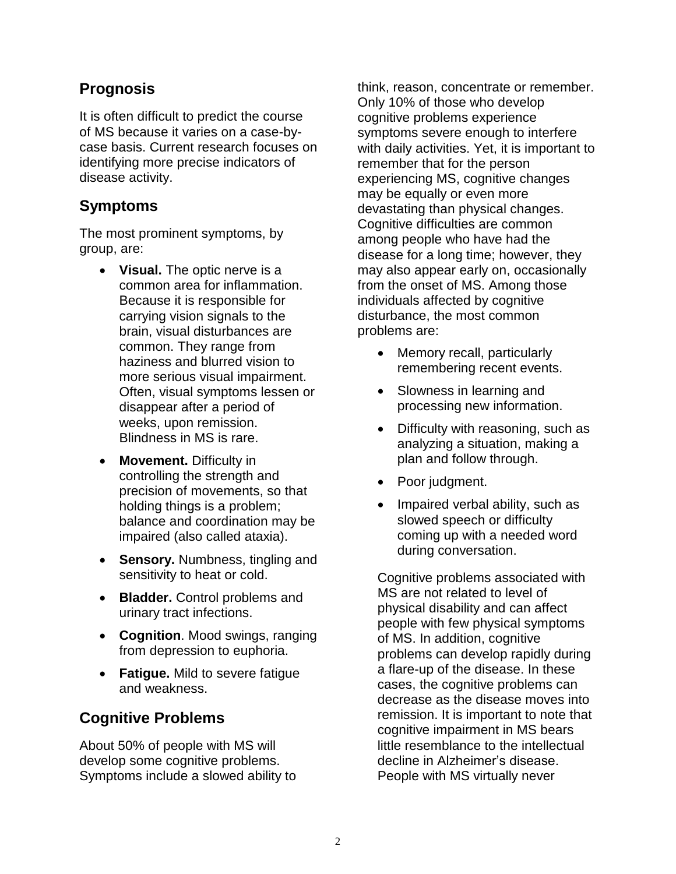## **Prognosis**

It is often difficult to predict the course of MS because it varies on a case-bycase basis. Current research focuses on identifying more precise indicators of disease activity.

#### **Symptoms**

The most prominent symptoms, by group, are:

- **Visual.** The optic nerve is a common area for inflammation. Because it is responsible for carrying vision signals to the brain, visual disturbances are common. They range from haziness and blurred vision to more serious visual impairment. Often, visual symptoms lessen or disappear after a period of weeks, upon remission. Blindness in MS is rare.
- **Movement.** Difficulty in controlling the strength and precision of movements, so that holding things is a problem; balance and coordination may be impaired (also called ataxia).
- **Sensory.** Numbness, tingling and sensitivity to heat or cold.
- **Bladder.** Control problems and urinary tract infections.
- **Cognition**. Mood swings, ranging from depression to euphoria.
- **Fatigue.** Mild to severe fatigue and weakness.

## **Cognitive Problems**

About 50% of people with MS will develop some cognitive problems. Symptoms include a slowed ability to think, reason, concentrate or remember. Only 10% of those who develop cognitive problems experience symptoms severe enough to interfere with daily activities. Yet, it is important to remember that for the person experiencing MS, cognitive changes may be equally or even more devastating than physical changes. Cognitive difficulties are common among people who have had the disease for a long time; however, they may also appear early on, occasionally from the onset of MS. Among those individuals affected by cognitive disturbance, the most common problems are:

- Memory recall, particularly remembering recent events.
- Slowness in learning and processing new information.
- Difficulty with reasoning, such as analyzing a situation, making a plan and follow through.
- Poor judgment.
- Impaired verbal ability, such as slowed speech or difficulty coming up with a needed word during conversation.

Cognitive problems associated with MS are not related to level of physical disability and can affect people with few physical symptoms of MS. In addition, cognitive problems can develop rapidly during a flare-up of the disease. In these cases, the cognitive problems can decrease as the disease moves into remission. It is important to note that cognitive impairment in MS bears little resemblance to the intellectual decline in Alzheimer's disease. People with MS virtually never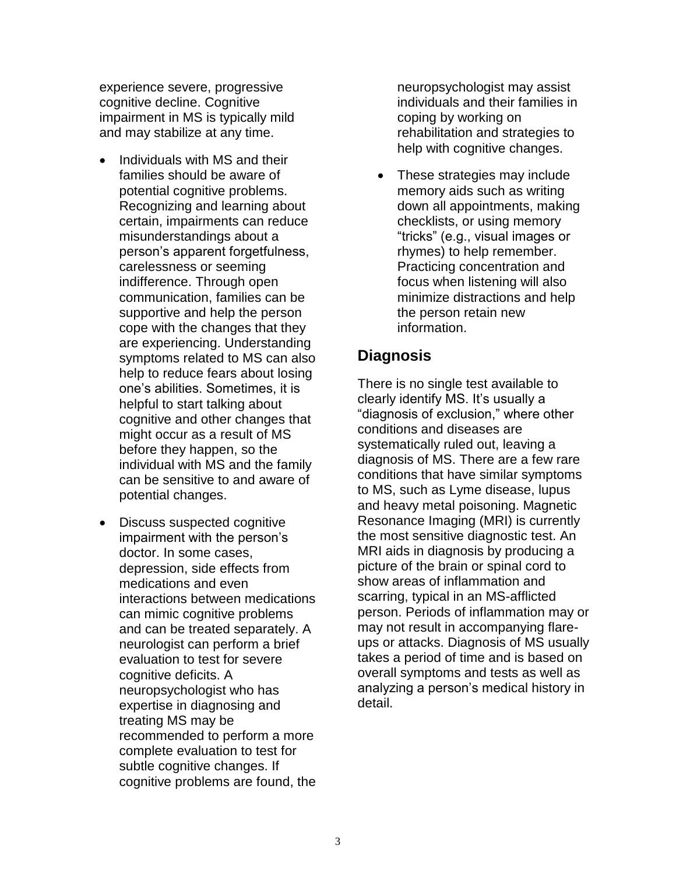experience severe, progressive cognitive decline. Cognitive impairment in MS is typically mild and may stabilize at any time.

- Individuals with MS and their families should be aware of potential cognitive problems. Recognizing and learning about certain, impairments can reduce misunderstandings about a person's apparent forgetfulness, carelessness or seeming indifference. Through open communication, families can be supportive and help the person cope with the changes that they are experiencing. Understanding symptoms related to MS can also help to reduce fears about losing one's abilities. Sometimes, it is helpful to start talking about cognitive and other changes that might occur as a result of MS before they happen, so the individual with MS and the family can be sensitive to and aware of potential changes.
- Discuss suspected cognitive impairment with the person's doctor. In some cases, depression, side effects from medications and even interactions between medications can mimic cognitive problems and can be treated separately. A neurologist can perform a brief evaluation to test for severe cognitive deficits. A neuropsychologist who has expertise in diagnosing and treating MS may be recommended to perform a more complete evaluation to test for subtle cognitive changes. If cognitive problems are found, the

neuropsychologist may assist individuals and their families in coping by working on rehabilitation and strategies to help with cognitive changes.

• These strategies may include memory aids such as writing down all appointments, making checklists, or using memory "tricks" (e.g., visual images or rhymes) to help remember. Practicing concentration and focus when listening will also minimize distractions and help the person retain new information.

#### **Diagnosis**

There is no single test available to clearly identify MS. It's usually a "diagnosis of exclusion," where other conditions and diseases are systematically ruled out, leaving a diagnosis of MS. There are a few rare conditions that have similar symptoms to MS, such as Lyme disease, lupus and heavy metal poisoning. Magnetic Resonance Imaging (MRI) is currently the most sensitive diagnostic test. An MRI aids in diagnosis by producing a picture of the brain or spinal cord to show areas of inflammation and scarring, typical in an MS-afflicted person. Periods of inflammation may or may not result in accompanying flareups or attacks. Diagnosis of MS usually takes a period of time and is based on overall symptoms and tests as well as analyzing a person's medical history in detail.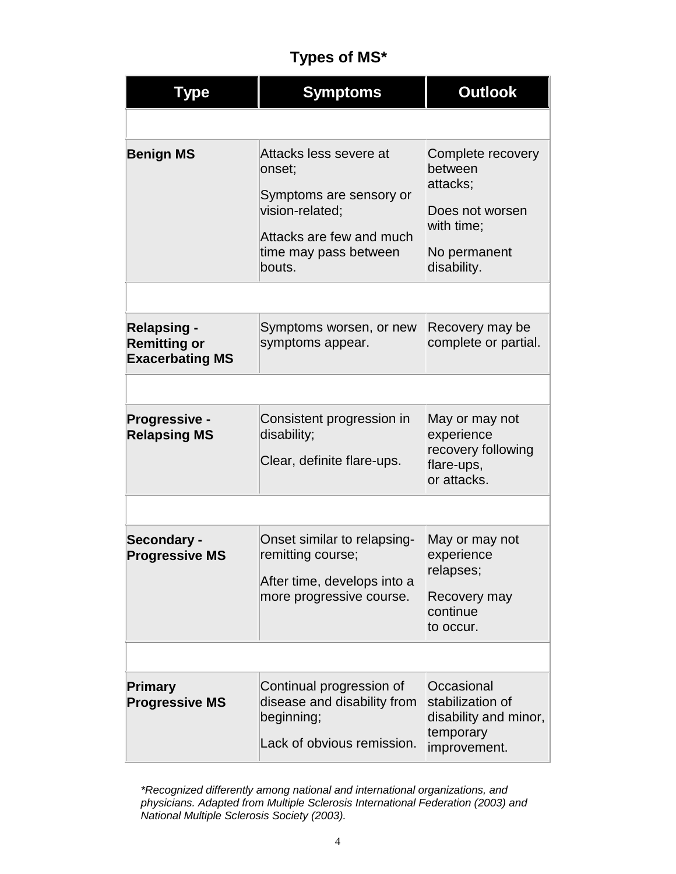## **Types of MS\***

| Type                                                                | <b>Symptoms</b>                                                                                                                               | <b>Outlook</b>                                                                                           |
|---------------------------------------------------------------------|-----------------------------------------------------------------------------------------------------------------------------------------------|----------------------------------------------------------------------------------------------------------|
|                                                                     |                                                                                                                                               |                                                                                                          |
| <b>Benign MS</b>                                                    | Attacks less severe at<br>onset;<br>Symptoms are sensory or<br>vision-related;<br>Attacks are few and much<br>time may pass between<br>bouts. | Complete recovery<br>between<br>attacks;<br>Does not worsen<br>with time;<br>No permanent<br>disability. |
|                                                                     |                                                                                                                                               |                                                                                                          |
| <b>Relapsing -</b><br><b>Remitting or</b><br><b>Exacerbating MS</b> | Symptoms worsen, or new<br>symptoms appear.                                                                                                   | Recovery may be<br>complete or partial.                                                                  |
|                                                                     |                                                                                                                                               |                                                                                                          |
| Progressive -<br><b>Relapsing MS</b>                                | Consistent progression in<br>disability;<br>Clear, definite flare-ups.                                                                        | May or may not<br>experience<br>recovery following<br>flare-ups,<br>or attacks.                          |
|                                                                     |                                                                                                                                               |                                                                                                          |
| Secondary -<br><b>Progressive MS</b>                                | Onset similar to relapsing-<br>remitting course;<br>After time, develops into a<br>more progressive course.                                   | May or may not<br>experience<br>relapses;<br>Recovery may<br>continue<br>to occur.                       |
|                                                                     |                                                                                                                                               |                                                                                                          |
| Primary<br><b>Progressive MS</b>                                    | Continual progression of<br>disease and disability from<br>beginning;<br>Lack of obvious remission.                                           | Occasional<br>stabilization of<br>disability and minor,<br>temporary<br>improvement.                     |

*\*Recognized differently among national and international organizations, and physicians. Adapted from Multiple Sclerosis International Federation (2003) and National Multiple Sclerosis Society (2003).*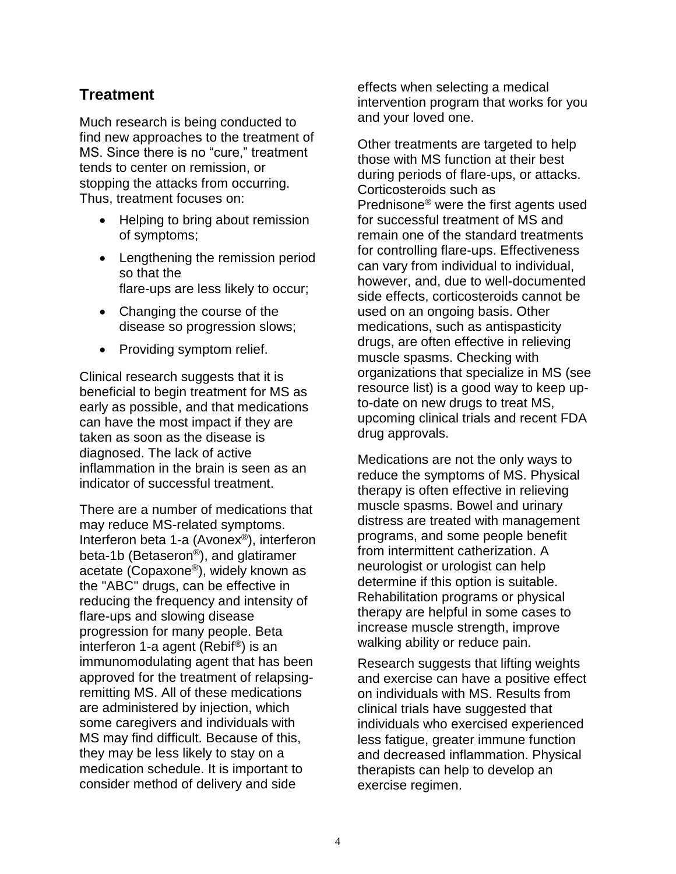#### **Treatment**

Much research is being conducted to find new approaches to the treatment of MS. Since there is no "cure," treatment tends to center on remission, or stopping the attacks from occurring. Thus, treatment focuses on:

- Helping to bring about remission of symptoms;
- Lengthening the remission period so that the flare-ups are less likely to occur;
- Changing the course of the disease so progression slows;
- Providing symptom relief.

Clinical research suggests that it is beneficial to begin treatment for MS as early as possible, and that medications can have the most impact if they are taken as soon as the disease is diagnosed. The lack of active inflammation in the brain is seen as an indicator of successful treatment.

There are a number of medications that may reduce MS-related symptoms. Interferon beta 1-a (Avonex®), interferon beta-1b (Betaseron®), and glatiramer acetate (Copaxone®), widely known as the "ABC" drugs, can be effective in reducing the frequency and intensity of flare-ups and slowing disease progression for many people. Beta interferon 1-a agent (Rebif®) is an immunomodulating agent that has been approved for the treatment of relapsingremitting MS. All of these medications are administered by injection, which some caregivers and individuals with MS may find difficult. Because of this, they may be less likely to stay on a medication schedule. It is important to consider method of delivery and side

effects when selecting a medical intervention program that works for you and your loved one.

Other treatments are targeted to help those with MS function at their best during periods of flare-ups, or attacks. Corticosteroids such as Prednisone® were the first agents used for successful treatment of MS and remain one of the standard treatments for controlling flare-ups. Effectiveness can vary from individual to individual, however, and, due to well-documented side effects, corticosteroids cannot be used on an ongoing basis. Other medications, such as antispasticity drugs, are often effective in relieving muscle spasms. Checking with organizations that specialize in MS (see resource list) is a good way to keep upto-date on new drugs to treat MS, upcoming clinical trials and recent FDA drug approvals.

Medications are not the only ways to reduce the symptoms of MS. Physical therapy is often effective in relieving muscle spasms. Bowel and urinary distress are treated with management programs, and some people benefit from intermittent catherization. A neurologist or urologist can help determine if this option is suitable. Rehabilitation programs or physical therapy are helpful in some cases to increase muscle strength, improve walking ability or reduce pain.

Research suggests that lifting weights and exercise can have a positive effect on individuals with MS. Results from clinical trials have suggested that individuals who exercised experienced less fatigue, greater immune function and decreased inflammation. Physical therapists can help to develop an exercise regimen.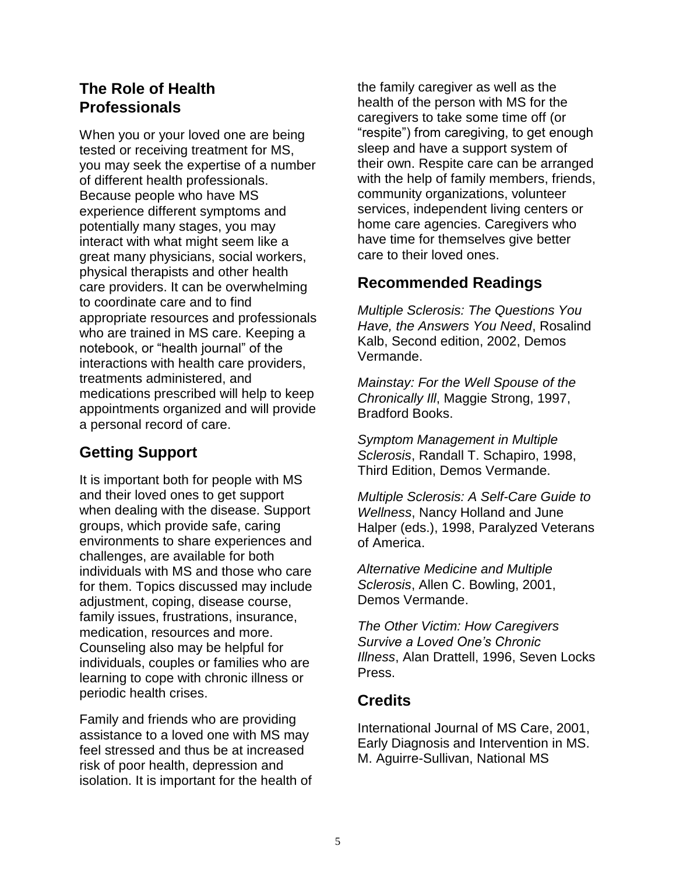#### **The Role of Health Professionals**

When you or your loved one are being tested or receiving treatment for MS, you may seek the expertise of a number of different health professionals. Because people who have MS experience different symptoms and potentially many stages, you may interact with what might seem like a great many physicians, social workers, physical therapists and other health care providers. It can be overwhelming to coordinate care and to find appropriate resources and professionals who are trained in MS care. Keeping a notebook, or "health journal" of the interactions with health care providers, treatments administered, and medications prescribed will help to keep appointments organized and will provide a personal record of care.

## **Getting Support**

It is important both for people with MS and their loved ones to get support when dealing with the disease. Support groups, which provide safe, caring environments to share experiences and challenges, are available for both individuals with MS and those who care for them. Topics discussed may include adjustment, coping, disease course, family issues, frustrations, insurance, medication, resources and more. Counseling also may be helpful for individuals, couples or families who are learning to cope with chronic illness or periodic health crises.

Family and friends who are providing assistance to a loved one with MS may feel stressed and thus be at increased risk of poor health, depression and isolation. It is important for the health of the family caregiver as well as the health of the person with MS for the caregivers to take some time off (or "respite") from caregiving, to get enough sleep and have a support system of their own. Respite care can be arranged with the help of family members, friends, community organizations, volunteer services, independent living centers or home care agencies. Caregivers who have time for themselves give better care to their loved ones.

#### **Recommended Readings**

*Multiple Sclerosis: The Questions You Have, the Answers You Need*, Rosalind Kalb, Second edition, 2002, Demos Vermande.

*Mainstay: For the Well Spouse of the Chronically Ill*, Maggie Strong, 1997, Bradford Books.

*Symptom Management in Multiple Sclerosis*, Randall T. Schapiro, 1998, Third Edition, Demos Vermande.

*Multiple Sclerosis: A Self-Care Guide to Wellness*, Nancy Holland and June Halper (eds.), 1998, Paralyzed Veterans of America.

*Alternative Medicine and Multiple Sclerosis*, Allen C. Bowling, 2001, Demos Vermande.

*The Other Victim: How Caregivers Survive a Loved One's Chronic Illness*, Alan Drattell, 1996, Seven Locks Press.

#### **Credits**

International Journal of MS Care, 2001, Early Diagnosis and Intervention in MS. M. Aguirre-Sullivan, National MS